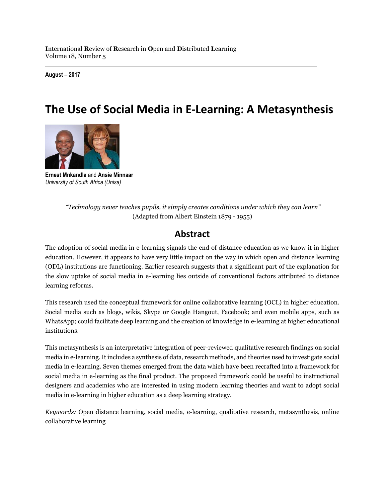**August – 2017**

# **The Use of Social Media in E-Learning: A Metasynthesis**



**Ernest Mnkandla** and **Ansie Minnaar** *University of South Africa (Unisa)*

*"Technology never teaches pupils, it simply creates conditions under which they can learn"* (Adapted from Albert Einstein 1879 - 1955)

## **Abstract**

The adoption of social media in e-learning signals the end of distance education as we know it in higher education. However, it appears to have very little impact on the way in which open and distance learning (ODL) institutions are functioning. Earlier research suggests that a significant part of the explanation for the slow uptake of social media in e-learning lies outside of conventional factors attributed to distance learning reforms.

This research used the conceptual framework for online collaborative learning (OCL) in higher education. Social media such as blogs, wikis, Skype or Google Hangout, Facebook; and even mobile apps, such as WhatsApp; could facilitate deep learning and the creation of knowledge in e-learning at higher educational institutions.

This metasynthesis is an interpretative integration of peer-reviewed qualitative research findings on social media in e-learning. It includes a synthesis of data, research methods, and theories used to investigate social media in e-learning. Seven themes emerged from the data which have been recrafted into a framework for social media in e-learning as the final product. The proposed framework could be useful to instructional designers and academics who are interested in using modern learning theories and want to adopt social media in e-learning in higher education as a deep learning strategy.

*Keywords:* Open distance learning, social media, e-learning, qualitative research, metasynthesis, online collaborative learning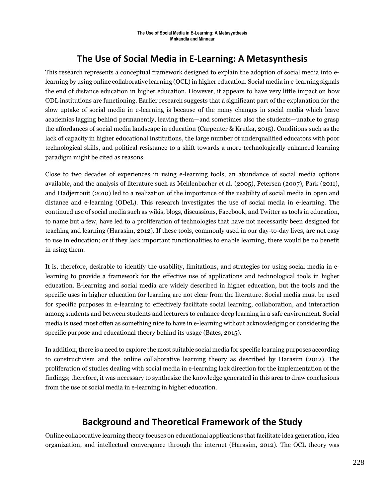# **The Use of Social Media in E-Learning: A Metasynthesis**

This research represents a conceptual framework designed to explain the adoption of social media into elearning by using online collaborative learning (OCL) in higher education. Social media in e-learning signals the end of distance education in higher education. However, it appears to have very little impact on how ODL institutions are functioning. Earlier research suggests that a significant part of the explanation for the slow uptake of social media in e-learning is because of the many changes in social media which leave academics lagging behind permanently, leaving them—and sometimes also the students—unable to grasp the affordances of social media landscape in education (Carpenter & Krutka, 2015). Conditions such as the lack of capacity in higher educational institutions, the large number of underqualified educators with poor technological skills, and political resistance to a shift towards a more technologically enhanced learning paradigm might be cited as reasons.

Close to two decades of experiences in using e-learning tools, an abundance of social media options available, and the analysis of literature such as Mehlenbacher et al. (2005), Petersen (2007), Park (2011), and Hadjerrouit (2010) led to a realization of the importance of the usability of social media in open and distance and e-learning (ODeL). This research investigates the use of social media in e-learning. The continued use of social media such as wikis, blogs, discussions, Facebook, and Twitter as tools in education, to name but a few, have led to a proliferation of technologies that have not necessarily been designed for teaching and learning (Harasim, 2012). If these tools, commonly used in our day-to-day lives, are not easy to use in education; or if they lack important functionalities to enable learning, there would be no benefit in using them.

It is, therefore, desirable to identify the usability, limitations, and strategies for using social media in elearning to provide a framework for the effective use of applications and technological tools in higher education. E-learning and social media are widely described in higher education, but the tools and the specific uses in higher education for learning are not clear from the literature. Social media must be used for specific purposes in e-learning to effectively facilitate social learning, collaboration, and interaction among students and between students and lecturers to enhance deep learning in a safe environment. Social media is used most often as something nice to have in e-learning without acknowledging or considering the specific purpose and educational theory behind its usage (Bates, 2015).

In addition, there is a need to explore the most suitable social media for specific learning purposes according to constructivism and the online collaborative learning theory as described by Harasim (2012). The proliferation of studies dealing with social media in e-learning lack direction for the implementation of the findings; therefore, it was necessary to synthesize the knowledge generated in this area to draw conclusions from the use of social media in e-learning in higher education.

# **Background and Theoretical Framework of the Study**

Online collaborative learning theory focuses on educational applications that facilitate idea generation, idea organization, and intellectual convergence through the internet (Harasim, 2012). The OCL theory was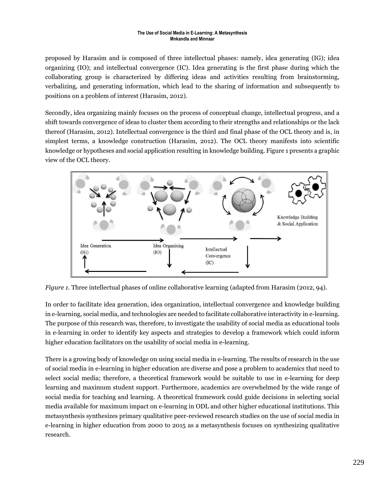proposed by Harasim and is composed of three intellectual phases: namely, idea generating (IG); idea organizing (IO); and intellectual convergence (IC). Idea generating is the first phase during which the collaborating group is characterized by differing ideas and activities resulting from brainstorming, verbalizing, and generating information, which lead to the sharing of information and subsequently to positions on a problem of interest (Harasim, 2012).

Secondly, idea organizing mainly focuses on the process of conceptual change, intellectual progress, and a shift towards convergence of ideas to cluster them according to their strengths and relationships or the lack thereof (Harasim, 2012). Intellectual convergence is the third and final phase of the OCL theory and is, in simplest terms, a knowledge construction (Harasim, 2012). The OCL theory manifests into scientific knowledge or hypotheses and social application resulting in knowledge building. Figure 1 presents a graphic view of the OCL theory.



*Figure* 1. Three intellectual phases of online collaborative learning (adapted from Harasim (2012, 94).

In order to facilitate idea generation, idea organization, intellectual convergence and knowledge building in e-learning, social media, and technologies are needed to facilitate collaborative interactivity in e-learning. The purpose of this research was, therefore, to investigate the usability of social media as educational tools in e-learning in order to identify key aspects and strategies to develop a framework which could inform higher education facilitators on the usability of social media in e-learning.

There is a growing body of knowledge on using social media in e-learning. The results of research in the use of social media in e-learning in higher education are diverse and pose a problem to academics that need to select social media; therefore, a theoretical framework would be suitable to use in e-learning for deep learning and maximum student support. Furthermore, academics are overwhelmed by the wide range of social media for teaching and learning. A theoretical framework could guide decisions in selecting social media available for maximum impact on e-learning in ODL and other higher educational institutions. This metasynthesis synthesizes primary qualitative peer-reviewed research studies on the use of social media in e-learning in higher education from 2000 to 2015 as a metasynthesis focuses on synthesizing qualitative research.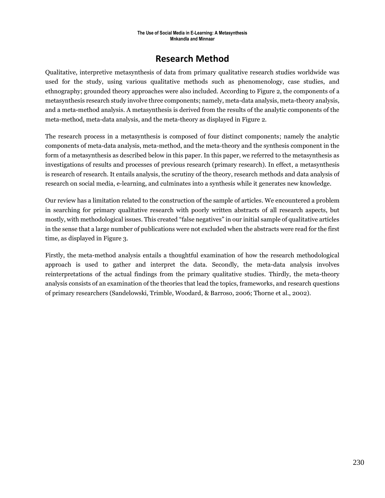## **Research Method**

Qualitative, interpretive metasynthesis of data from primary qualitative research studies worldwide was used for the study, using various qualitative methods such as phenomenology, case studies, and ethnography; grounded theory approaches were also included. According to Figure 2, the components of a metasynthesis research study involve three components; namely, meta-data analysis, meta-theory analysis, and a meta-method analysis. A metasynthesis is derived from the results of the analytic components of the meta-method, meta-data analysis, and the meta-theory as displayed in Figure 2.

The research process in a metasynthesis is composed of four distinct components; namely the analytic components of meta-data analysis, meta-method, and the meta-theory and the synthesis component in the form of a metasynthesis as described below in this paper. In this paper, we referred to the metasynthesis as investigations of results and processes of previous research (primary research). In effect, a metasynthesis is research of research. It entails analysis, the scrutiny of the theory, research methods and data analysis of research on social media, e-learning, and culminates into a synthesis while it generates new knowledge.

Our review has a limitation related to the construction of the sample of articles. We encountered a problem in searching for primary qualitative research with poorly written abstracts of all research aspects, but mostly, with methodological issues. This created "false negatives" in our initial sample of qualitative articles in the sense that a large number of publications were not excluded when the abstracts were read for the first time, as displayed in Figure 3.

Firstly, the meta-method analysis entails a thoughtful examination of how the research methodological approach is used to gather and interpret the data. Secondly, the meta-data analysis involves reinterpretations of the actual findings from the primary qualitative studies. Thirdly, the meta-theory analysis consists of an examination of the theories that lead the topics, frameworks, and research questions of primary researchers (Sandelowski, Trimble, Woodard, & Barroso, 2006; Thorne et al., 2002).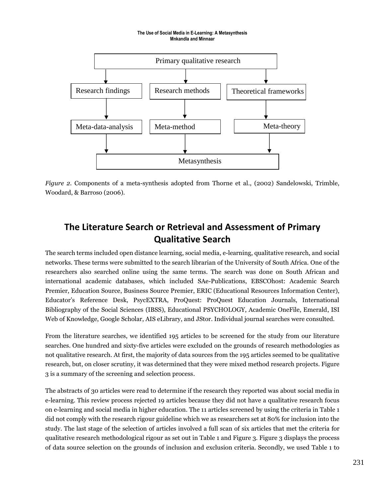

*Figure 2*. Components of a meta-synthesis adopted from Thorne et al., (2002) Sandelowski, Trimble, Woodard, & Barroso (2006).

# **The Literature Search or Retrieval and Assessment of Primary Qualitative Search**

The search terms included open distance learning, social media, e-learning, qualitative research, and social networks. These terms were submitted to the search librarian of the University of South Africa. One of the researchers also searched online using the same terms. The search was done on South African and international academic databases, which included SAe-Publications, EBSCOhost: Academic Search Premier, Education Source, Business Source Premier, ERIC (Educational Resources Information Center), Educator's Reference Desk, PsycEXTRA, ProQuest: ProQuest Education Journals, International Bibliography of the Social Sciences (IBSS), Educational PSYCHOLOGY, Academic OneFile, Emerald, ISI Web of Knowledge, Google Scholar, AIS eLibrary, and JStor. Individual journal searches were consulted.

From the literature searches, we identified 195 articles to be screened for the study from our literature searches. One hundred and sixty-five articles were excluded on the grounds of research methodologies as not qualitative research. At first, the majority of data sources from the 195 articles seemed to be qualitative research, but, on closer scrutiny, it was determined that they were mixed method research projects. Figure 3 is a summary of the screening and selection process.

The abstracts of 30 articles were read to determine if the research they reported was about social media in e-learning. This review process rejected 19 articles because they did not have a qualitative research focus on e-learning and social media in higher education. The 11 articles screened by using the criteria in Table 1 did not comply with the research rigour guideline which we as researchers set at 80% for inclusion into the study. The last stage of the selection of articles involved a full scan of six articles that met the criteria for qualitative research methodological rigour as set out in Table 1 and Figure 3. Figure 3 displays the process of data source selection on the grounds of inclusion and exclusion criteria. Secondly, we used Table 1 to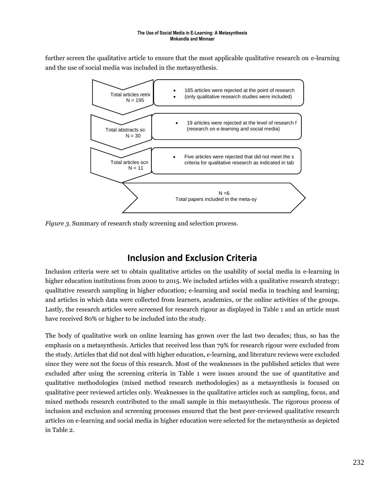further screen the qualitative article to ensure that the most applicable qualitative research on e-learning and the use of social media was included in the metasynthesis.



*Figure 3*. Summary of research study screening and selection process.

## **Inclusion and Exclusion Criteria**

Inclusion criteria were set to obtain qualitative articles on the usability of social media in e-learning in higher education institutions from 2000 to 2015. We included articles with a qualitative research strategy; qualitative research sampling in higher education; e-learning and social media in teaching and learning; and articles in which data were collected from learners, academics, or the online activities of the groups. Lastly, the research articles were screened for research rigour as displayed in Table 1 and an article must have received 80% or higher to be included into the study.

The body of qualitative work on online learning has grown over the last two decades; thus, so has the emphasis on a metasynthesis. Articles that received less than 79% for research rigour were excluded from the study. Articles that did not deal with higher education, e-learning, and literature reviews were excluded since they were not the focus of this research. Most of the weaknesses in the published articles that were excluded after using the screening criteria in Table 1 were issues around the use of quantitative and qualitative methodologies (mixed method research methodologies) as a metasynthesis is focused on qualitative peer reviewed articles only. Weaknesses in the qualitative articles such as sampling, focus, and mixed methods research contributed to the small sample in this metasynthesis. The rigorous process of inclusion and exclusion and screening processes ensured that the best peer-reviewed qualitative research articles on e-learning and social media in higher education were selected for the metasynthesis as depicted in Table 2.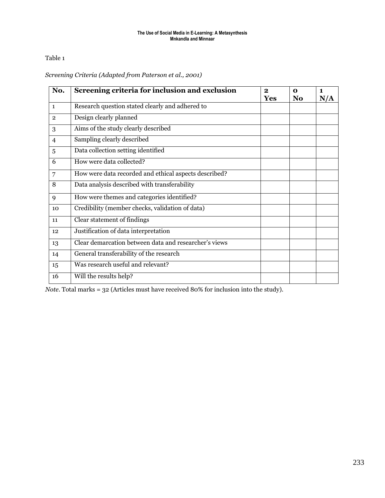Table 1

*Screening Criteria (Adapted from Paterson et al., 2001)*

| No.            | Screening criteria for inclusion and exclusion        | $\bf{2}$<br><b>Yes</b> | $\Omega$<br>N <sub>0</sub> | $\mathbf{1}$<br>N/A |
|----------------|-------------------------------------------------------|------------------------|----------------------------|---------------------|
| $\mathbf{1}$   | Research question stated clearly and adhered to       |                        |                            |                     |
| $\overline{2}$ | Design clearly planned                                |                        |                            |                     |
| 3              | Aims of the study clearly described                   |                        |                            |                     |
| $\overline{4}$ | Sampling clearly described                            |                        |                            |                     |
| 5              | Data collection setting identified                    |                        |                            |                     |
| 6              | How were data collected?                              |                        |                            |                     |
| 7              | How were data recorded and ethical aspects described? |                        |                            |                     |
| 8              | Data analysis described with transferability          |                        |                            |                     |
| 9              | How were themes and categories identified?            |                        |                            |                     |
| 10             | Credibility (member checks, validation of data)       |                        |                            |                     |
| 11             | Clear statement of findings                           |                        |                            |                     |
| 12             | Justification of data interpretation                  |                        |                            |                     |
| 13             | Clear demarcation between data and researcher's views |                        |                            |                     |
| 14             | General transferability of the research               |                        |                            |                     |
| 15             | Was research useful and relevant?                     |                        |                            |                     |
| 16             | Will the results help?                                |                        |                            |                     |

*Note*. Total marks = 32 (Articles must have received 80% for inclusion into the study).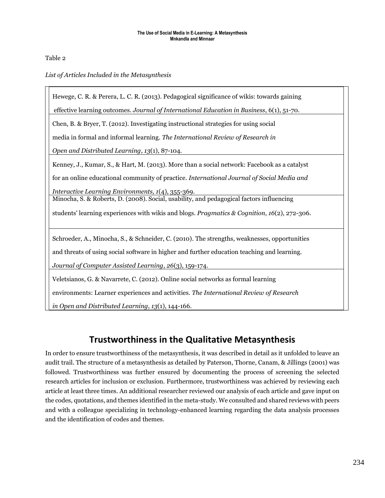Table 2

*List of Articles Included in the Metasynthesis*

Hewege, C. R. & Perera, L. C. R. (2013). Pedagogical significance of wikis: towards gaining effective learning outcomes. *Journal of International Education in Business*, 6(1), 51-70. Chen, B. & Bryer, T. (2012). Investigating instructional strategies for using social media in formal and informal learning. *The International Review of Research in Open and Distributed Learning*, *13*(1), 87-104. Kenney, J., Kumar, S., & Hart, M. (2013). More than a social network: Facebook as a catalyst for an online educational community of practice. *International Journal of Social Media and Interactive Learning Environments, 1*(4), 355-369. Minocha, S. & Roberts, D. (2008). Social, usability, and pedagogical factors influencing students' learning experiences with wikis and blogs. *Pragmatics & Cognition*, *16*(2), 272-306. Schroeder, A., Minocha, S., & Schneider, C. (2010). The strengths, weaknesses, opportunities and threats of using social software in higher and further education teaching and learning. *Journal of Computer Assisted Learning*, *26*(3), 159-174. Veletsianos, G. & Navarrete, C. (2012). Online social networks as formal learning environments: Learner experiences and activities. *The International Review of Research in Open and Distributed Learning*, *13*(1), 144-166.

# **Trustworthiness in the Qualitative Metasynthesis**

In order to ensure trustworthiness of the metasynthesis, it was described in detail as it unfolded to leave an audit trail. The structure of a metasynthesis as detailed by Paterson, Thorne, Canam, & Jillings (2001) was followed. Trustworthiness was further ensured by documenting the process of screening the selected research articles for inclusion or exclusion. Furthermore, trustworthiness was achieved by reviewing each article at least three times. An additional researcher reviewed our analysis of each article and gave input on the codes, quotations, and themes identified in the meta-study. We consulted and shared reviews with peers and with a colleague specializing in technology-enhanced learning regarding the data analysis processes and the identification of codes and themes.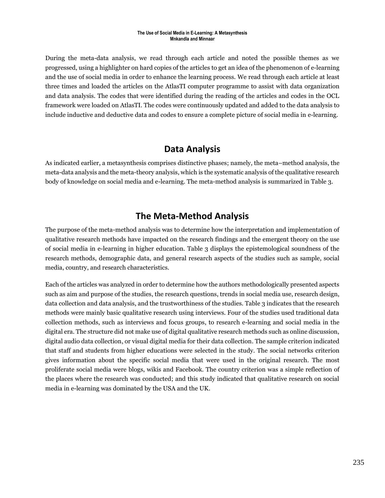During the meta-data analysis, we read through each article and noted the possible themes as we progressed, using a highlighter on hard copies of the articles to get an idea of the phenomenon of e-learning and the use of social media in order to enhance the learning process. We read through each article at least three times and loaded the articles on the AtlasTI computer programme to assist with data organization and data analysis. The codes that were identified during the reading of the articles and codes in the OCL framework were loaded on AtlasTI. The codes were continuously updated and added to the data analysis to include inductive and deductive data and codes to ensure a complete picture of social media in e-learning.

### **Data Analysis**

As indicated earlier, a metasynthesis comprises distinctive phases; namely, the meta–method analysis, the meta-data analysis and the meta-theory analysis, which is the systematic analysis of the qualitative research body of knowledge on social media and e-learning. The meta-method analysis is summarized in Table 3.

## **The Meta-Method Analysis**

The purpose of the meta-method analysis was to determine how the interpretation and implementation of qualitative research methods have impacted on the research findings and the emergent theory on the use of social media in e-learning in higher education. Table 3 displays the epistemological soundness of the research methods, demographic data, and general research aspects of the studies such as sample, social media, country, and research characteristics.

Each of the articles was analyzed in order to determine how the authors methodologically presented aspects such as aim and purpose of the studies, the research questions, trends in social media use, research design, data collection and data analysis, and the trustworthiness of the studies. Table 3 indicates that the research methods were mainly basic qualitative research using interviews. Four of the studies used traditional data collection methods, such as interviews and focus groups, to research e-learning and social media in the digital era. The structure did not make use of digital qualitative research methods such as online discussion, digital audio data collection, or visual digital media for their data collection. The sample criterion indicated that staff and students from higher educations were selected in the study. The social networks criterion gives information about the specific social media that were used in the original research. The most proliferate social media were blogs, wikis and Facebook. The country criterion was a simple reflection of the places where the research was conducted; and this study indicated that qualitative research on social media in e-learning was dominated by the USA and the UK.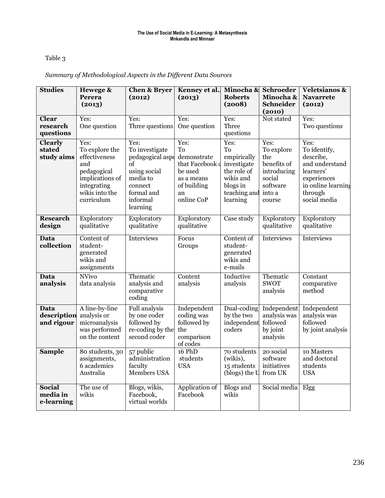### Table 3

### *Summary of Methodological Aspects in the Different Data Sources*

| <b>Studies</b>                           | Hewege &<br>Perera<br>(2013)                                                                                                    | <b>Chen &amp; Bryer</b><br>(2012)                                                                                             | Kenney et al.<br>(2013)                                                                                  | Minocha &<br><b>Roberts</b><br>(2008)                                                                        | Schroeder<br>Minocha &<br><b>Schneider</b><br>(2010)                                              | <b>Veletsianos &amp;</b><br><b>Navarrete</b><br>(2012)                                                                           |
|------------------------------------------|---------------------------------------------------------------------------------------------------------------------------------|-------------------------------------------------------------------------------------------------------------------------------|----------------------------------------------------------------------------------------------------------|--------------------------------------------------------------------------------------------------------------|---------------------------------------------------------------------------------------------------|----------------------------------------------------------------------------------------------------------------------------------|
| <b>Clear</b><br>research<br>questions    | Yes:<br>One question                                                                                                            | Yes:<br>Three questions                                                                                                       | Yes:<br>One question                                                                                     | Yes:<br>Three<br>questions                                                                                   | Not stated                                                                                        | Yes:<br>Two questions                                                                                                            |
| <b>Clearly</b><br>stated<br>study aims   | Yes:<br>To explore the<br>effectiveness<br>and<br>pedagogical<br>implications of<br>integrating<br>wikis into the<br>curriculum | Yes:<br>To investigate<br>pedagogical aspe<br>of<br>using social<br>media to<br>connect<br>formal and<br>informal<br>learning | Yes:<br>To<br>demonstrate<br>that Facebook c<br>be used<br>as a means<br>of building<br>an<br>online CoP | Yes:<br>To<br>empirically<br>investigate<br>the role of<br>wikis and<br>blogs in<br>teaching and<br>learning | Yes:<br>To explore<br>the<br>benefits of<br>introducing<br>social<br>software<br>into a<br>course | Yes:<br>To identify,<br>describe,<br>and understand<br>learners'<br>experiences<br>in online learning<br>through<br>social media |
| <b>Research</b><br>design                | Exploratory<br>qualitative                                                                                                      | Exploratory<br>qualitative                                                                                                    | Exploratory<br>qualitative                                                                               | Case study                                                                                                   | Exploratory<br>qualitative                                                                        | Exploratory<br>qualitative                                                                                                       |
| Data<br>collection                       | Content of<br>student-<br>generated<br>wikis and<br>assignments                                                                 | Interviews                                                                                                                    | Focus<br>Groups                                                                                          | Content of<br>student-<br>generated<br>wikis and<br>e-mails                                                  | <b>Interviews</b>                                                                                 | Interviews                                                                                                                       |
| Data<br>analysis                         | <b>NVivo</b><br>data analysis                                                                                                   | Thematic<br>analysis and<br>comparative<br>coding                                                                             | Content<br>analysis                                                                                      | Inductive<br>analysis                                                                                        | Thematic<br><b>SWOT</b><br>analysis                                                               | Constant<br>comparative<br>method                                                                                                |
| <b>Data</b><br>description<br>and rigour | A line-by-line<br>analysis or<br>microanalysis<br>was performed<br>on the content                                               | Full analysis<br>by one coder<br>followed by<br>re-coding by the<br>second coder                                              | Independent<br>coding was<br>followed by<br>the<br>comparison<br>of codes                                | Dual-coding<br>by the two<br>independent<br>coders                                                           | Independent<br>analysis was<br>followed<br>by joint<br>analysis                                   | Independent<br>analysis was<br>followed<br>by joint analysis                                                                     |
| <b>Sample</b>                            | 80 students, 30<br>assignments,<br>6 academics<br>Australia                                                                     | 57 public<br>administration<br>faculty<br>Members USA                                                                         | 16 PhD<br>students<br><b>USA</b>                                                                         | 70 students<br>(wikis),<br>15 students<br>(blogs) the U                                                      | 20 social<br>software<br>initiatives<br>from UK                                                   | 10 Masters<br>and doctoral<br>students<br><b>USA</b>                                                                             |
| <b>Social</b><br>media in<br>e-learning  | The use of<br>wikis                                                                                                             | Blogs, wikis,<br>Facebook,<br>virtual worlds                                                                                  | Application of<br>Facebook                                                                               | <b>Blogs</b> and<br>wikis                                                                                    | Social media                                                                                      | Elgg                                                                                                                             |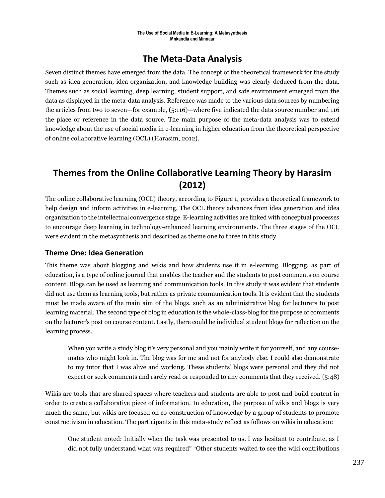## **The Meta-Data Analysis**

Seven distinct themes have emerged from the data. The concept of the theoretical framework for the study such as idea generation, idea organization, and knowledge building was clearly deduced from the data. Themes such as social learning, deep learning, student support, and safe environment emerged from the data as displayed in the meta-data analysis. Reference was made to the various data sources by numbering the articles from two to seven—for example, (5:116)—where five indicated the data source number and 116 the place or reference in the data source. The main purpose of the meta-data analysis was to extend knowledge about the use of social media in e-learning in higher education from the theoretical perspective of online collaborative learning (OCL) (Harasim, 2012).

# **Themes from the Online Collaborative Learning Theory by Harasim (2012)**

The online collaborative learning (OCL) theory, according to Figure 1, provides a theoretical framework to help design and inform activities in e-learning. The OCL theory advances from idea generation and idea organization to the intellectual convergence stage. E-learning activities are linked with conceptual processes to encourage deep learning in technology-enhanced learning environments. The three stages of the OCL were evident in the metasynthesis and described as theme one to three in this study.

### **Theme One: Idea Generation**

This theme was about blogging and wikis and how students use it in e-learning. Blogging, as part of education, is a type of online journal that enables the teacher and the students to post comments on course content. Blogs can be used as learning and communication tools. In this study it was evident that students did not use them as learning tools, but rather as private communication tools. It is evident that the students must be made aware of the main aim of the blogs, such as an administrative blog for lecturers to post learning material. The second type of blog in education is the whole-class-blog for the purpose of comments on the lecturer's post on course content. Lastly, there could be individual student blogs for reflection on the learning process.

When you write a study blog it's very personal and you mainly write it for yourself, and any coursemates who might look in. The blog was for me and not for anybody else. I could also demonstrate to my tutor that I was alive and working. These students' blogs were personal and they did not expect or seek comments and rarely read or responded to any comments that they received. (5:48)

Wikis are tools that are shared spaces where teachers and students are able to post and build content in order to create a collaborative piece of information. In education, the purpose of wikis and blogs is very much the same, but wikis are focused on co-construction of knowledge by a group of students to promote constructivism in education. The participants in this meta-study reflect as follows on wikis in education:

One student noted: Initially when the task was presented to us, I was hesitant to contribute, as I did not fully understand what was required" "Other students waited to see the wiki contributions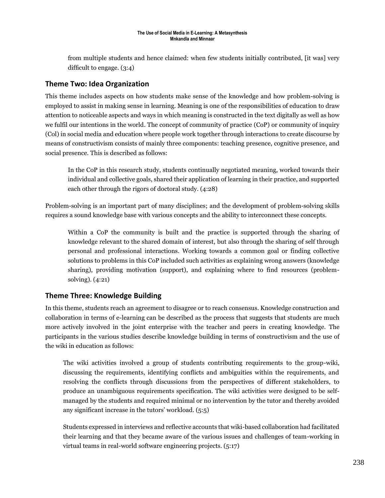from multiple students and hence claimed: when few students initially contributed, [it was] very difficult to engage. (3:4)

### **Theme Two: Idea Organization**

This theme includes aspects on how students make sense of the knowledge and how problem-solving is employed to assist in making sense in learning. Meaning is one of the responsibilities of education to draw attention to noticeable aspects and ways in which meaning is constructed in the text digitally as well as how we fulfil our intentions in the world. The concept of community of practice (CoP) or community of inquiry (Col) in social media and education where people work together through interactions to create discourse by means of constructivism consists of mainly three components: teaching presence, cognitive presence, and social presence. This is described as follows:

In the CoP in this research study, students continually negotiated meaning, worked towards their individual and collective goals, shared their application of learning in their practice, and supported each other through the rigors of doctoral study. (4:28)

Problem-solving is an important part of many disciplines; and the development of problem-solving skills requires a sound knowledge base with various concepts and the ability to interconnect these concepts.

Within a CoP the community is built and the practice is supported through the sharing of knowledge relevant to the shared domain of interest, but also through the sharing of self through personal and professional interactions. Working towards a common goal or finding collective solutions to problems in this CoP included such activities as explaining wrong answers (knowledge sharing), providing motivation (support), and explaining where to find resources (problemsolving). (4:21)

### **Theme Three: Knowledge Building**

In this theme, students reach an agreement to disagree or to reach consensus. Knowledge construction and collaboration in terms of e-learning can be described as the process that suggests that students are much more actively involved in the joint enterprise with the teacher and peers in creating knowledge. The participants in the various studies describe knowledge building in terms of constructivism and the use of the wiki in education as follows:

The wiki activities involved a group of students contributing requirements to the group-wiki, discussing the requirements, identifying conflicts and ambiguities within the requirements, and resolving the conflicts through discussions from the perspectives of different stakeholders, to produce an unambiguous requirements specification. The wiki activities were designed to be selfmanaged by the students and required minimal or no intervention by the tutor and thereby avoided any significant increase in the tutors' workload. (5:5)

Students expressed in interviews and reflective accounts that wiki-based collaboration had facilitated their learning and that they became aware of the various issues and challenges of team-working in virtual teams in real-world software engineering projects. (5:17)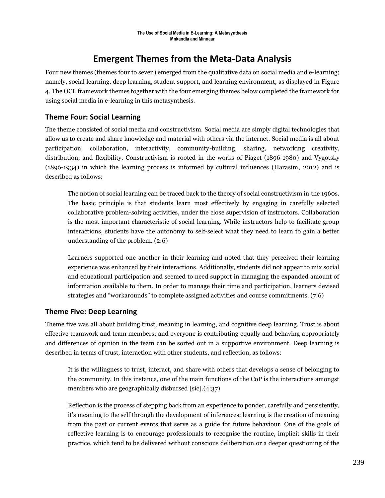# **Emergent Themes from the Meta-Data Analysis**

Four new themes (themes four to seven) emerged from the qualitative data on social media and e-learning; namely, social learning, deep learning, student support, and learning environment, as displayed in Figure 4. The OCL framework themes together with the four emerging themes below completed the framework for using social media in e-learning in this metasynthesis.

### **Theme Four: Social Learning**

The theme consisted of social media and constructivism. Social media are simply digital technologies that allow us to create and share knowledge and material with others via the internet. Social media is all about participation, collaboration, interactivity, community-building, sharing, networking creativity, distribution, and flexibility. Constructivism is rooted in the works of Piaget (1896-1980) and Vygotsky (1896-1934) in which the learning process is informed by cultural influences (Harasim, 2012) and is described as follows:

The notion of social learning can be traced back to the theory of social constructivism in the 1960s. The basic principle is that students learn most effectively by engaging in carefully selected collaborative problem-solving activities, under the close supervision of instructors. Collaboration is the most important characteristic of social learning. While instructors help to facilitate group interactions, students have the autonomy to self-select what they need to learn to gain a better understanding of the problem. (2:6)

Learners supported one another in their learning and noted that they perceived their learning experience was enhanced by their interactions. Additionally, students did not appear to mix social and educational participation and seemed to need support in managing the expanded amount of information available to them. In order to manage their time and participation, learners devised strategies and "workarounds" to complete assigned activities and course commitments. (7:6)

### **Theme Five: Deep Learning**

Theme five was all about building trust, meaning in learning, and cognitive deep learning. Trust is about effective teamwork and team members; and everyone is contributing equally and behaving appropriately and differences of opinion in the team can be sorted out in a supportive environment. Deep learning is described in terms of trust, interaction with other students, and reflection, as follows:

It is the willingness to trust, interact, and share with others that develops a sense of belonging to the community. In this instance, one of the main functions of the CoP is the interactions amongst members who are geographically disbursed [sic].(4:37)

Reflection is the process of stepping back from an experience to ponder, carefully and persistently, it's meaning to the self through the development of inferences; learning is the creation of meaning from the past or current events that serve as a guide for future behaviour. One of the goals of reflective learning is to encourage professionals to recognise the routine, implicit skills in their practice, which tend to be delivered without conscious deliberation or a deeper questioning of the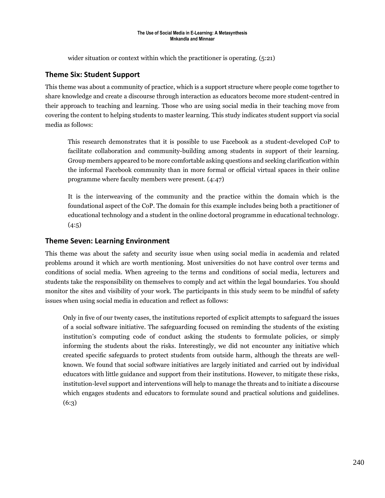wider situation or context within which the practitioner is operating. (5:21)

### **Theme Six: Student Support**

This theme was about a community of practice, which is a support structure where people come together to share knowledge and create a discourse through interaction as educators become more student-centred in their approach to teaching and learning. Those who are using social media in their teaching move from covering the content to helping students to master learning. This study indicates student support via social media as follows:

This research demonstrates that it is possible to use Facebook as a student-developed CoP to facilitate collaboration and community-building among students in support of their learning. Group members appeared to be more comfortable asking questions and seeking clarification within the informal Facebook community than in more formal or official virtual spaces in their online programme where faculty members were present. (4:47)

It is the interweaving of the community and the practice within the domain which is the foundational aspect of the CoP. The domain for this example includes being both a practitioner of educational technology and a student in the online doctoral programme in educational technology. (4:5)

### **Theme Seven: Learning Environment**

This theme was about the safety and security issue when using social media in academia and related problems around it which are worth mentioning. Most universities do not have control over terms and conditions of social media. When agreeing to the terms and conditions of social media, lecturers and students take the responsibility on themselves to comply and act within the legal boundaries. You should monitor the sites and visibility of your work. The participants in this study seem to be mindful of safety issues when using social media in education and reflect as follows:

Only in five of our twenty cases, the institutions reported of explicit attempts to safeguard the issues of a social software initiative. The safeguarding focused on reminding the students of the existing institution's computing code of conduct asking the students to formulate policies, or simply informing the students about the risks. Interestingly, we did not encounter any initiative which created specific safeguards to protect students from outside harm, although the threats are wellknown. We found that social software initiatives are largely initiated and carried out by individual educators with little guidance and support from their institutions. However, to mitigate these risks, institution-level support and interventions will help to manage the threats and to initiate a discourse which engages students and educators to formulate sound and practical solutions and guidelines. (6:3)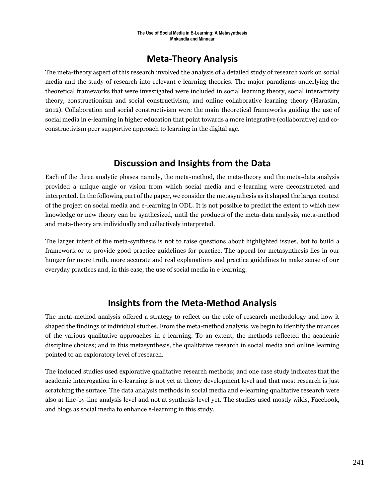## **Meta-Theory Analysis**

The meta-theory aspect of this research involved the analysis of a detailed study of research work on social media and the study of research into relevant e-learning theories. The major paradigms underlying the theoretical frameworks that were investigated were included in social learning theory, social interactivity theory, constructionism and social constructivism, and online collaborative learning theory (Harasim, 2012). Collaboration and social constructivism were the main theoretical frameworks guiding the use of social media in e-learning in higher education that point towards a more integrative (collaborative) and coconstructivism peer supportive approach to learning in the digital age.

## **Discussion and Insights from the Data**

Each of the three analytic phases namely, the meta-method, the meta-theory and the meta-data analysis provided a unique angle or vision from which social media and e-learning were deconstructed and interpreted. In the following part of the paper, we consider the metasynthesis as it shaped the larger context of the project on social media and e-learning in ODL. It is not possible to predict the extent to which new knowledge or new theory can be synthesized, until the products of the meta-data analysis, meta-method and meta-theory are individually and collectively interpreted.

The larger intent of the meta-synthesis is not to raise questions about highlighted issues, but to build a framework or to provide good practice guidelines for practice. The appeal for metasynthesis lies in our hunger for more truth, more accurate and real explanations and practice guidelines to make sense of our everyday practices and, in this case, the use of social media in e-learning.

# **Insights from the Meta-Method Analysis**

The meta-method analysis offered a strategy to reflect on the role of research methodology and how it shaped the findings of individual studies. From the meta-method analysis, we begin to identify the nuances of the various qualitative approaches in e-learning. To an extent, the methods reflected the academic discipline choices; and in this metasynthesis, the qualitative research in social media and online learning pointed to an exploratory level of research.

The included studies used explorative qualitative research methods; and one case study indicates that the academic interrogation in e-learning is not yet at theory development level and that most research is just scratching the surface. The data analysis methods in social media and e-learning qualitative research were also at line-by-line analysis level and not at synthesis level yet. The studies used mostly wikis, Facebook, and blogs as social media to enhance e-learning in this study.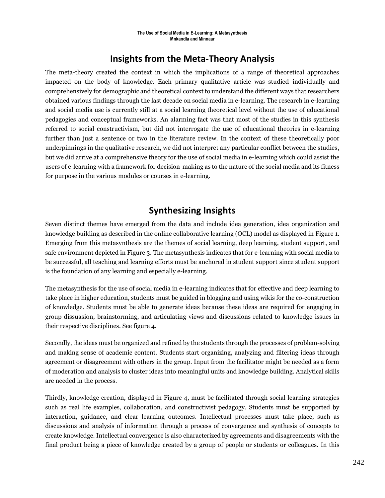## **Insights from the Meta-Theory Analysis**

The meta-theory created the context in which the implications of a range of theoretical approaches impacted on the body of knowledge. Each primary qualitative article was studied individually and comprehensively for demographic and theoretical context to understand the different ways that researchers obtained various findings through the last decade on social media in e-learning. The research in e-learning and social media use is currently still at a social learning theoretical level without the use of educational pedagogies and conceptual frameworks. An alarming fact was that most of the studies in this synthesis referred to social constructivism, but did not interrogate the use of educational theories in e-learning further than just a sentence or two in the literature review. In the context of these theoretically poor underpinnings in the qualitative research, we did not interpret any particular conflict between the studies, but we did arrive at a comprehensive theory for the use of social media in e-learning which could assist the users of e-learning with a framework for decision-making as to the nature of the social media and its fitness for purpose in the various modules or courses in e-learning.

# **Synthesizing Insights**

Seven distinct themes have emerged from the data and include idea generation, idea organization and knowledge building as described in the online collaborative learning (OCL) model as displayed in Figure 1. Emerging from this metasynthesis are the themes of social learning, deep learning, student support, and safe environment depicted in Figure 3. The metasynthesis indicates that for e-learning with social media to be successful, all teaching and learning efforts must be anchored in student support since student support is the foundation of any learning and especially e-learning.

The metasynthesis for the use of social media in e-learning indicates that for effective and deep learning to take place in higher education, students must be guided in blogging and using wikis for the co-construction of knowledge. Students must be able to generate ideas because these ideas are required for engaging in group dissuasion, brainstorming, and articulating views and discussions related to knowledge issues in their respective disciplines. See figure 4.

Secondly, the ideas must be organized and refined by the students through the processes of problem-solving and making sense of academic content. Students start organizing, analyzing and filtering ideas through agreement or disagreement with others in the group. Input from the facilitator might be needed as a form of moderation and analysis to cluster ideas into meaningful units and knowledge building. Analytical skills are needed in the process.

Thirdly, knowledge creation, displayed in Figure 4, must be facilitated through social learning strategies such as real life examples, collaboration, and constructivist pedagogy. Students must be supported by interaction, guidance, and clear learning outcomes. Intellectual processes must take place, such as discussions and analysis of information through a process of convergence and synthesis of concepts to create knowledge. Intellectual convergence is also characterized by agreements and disagreements with the final product being a piece of knowledge created by a group of people or students or colleagues. In this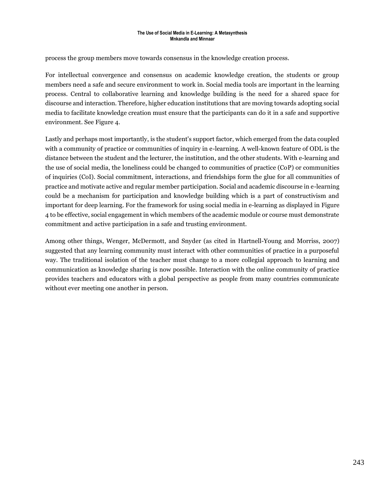process the group members move towards consensus in the knowledge creation process.

For intellectual convergence and consensus on academic knowledge creation, the students or group members need a safe and secure environment to work in. Social media tools are important in the learning process. Central to collaborative learning and knowledge building is the need for a shared space for discourse and interaction. Therefore, higher education institutions that are moving towards adopting social media to facilitate knowledge creation must ensure that the participants can do it in a safe and supportive environment. See Figure 4.

Lastly and perhaps most importantly, is the student's support factor, which emerged from the data coupled with a community of practice or communities of inquiry in e-learning. A well-known feature of ODL is the distance between the student and the lecturer, the institution, and the other students. With e-learning and the use of social media, the loneliness could be changed to communities of practice (CoP) or communities of inquiries (CoI). Social commitment, interactions, and friendships form the glue for all communities of practice and motivate active and regular member participation. Social and academic discourse in e-learning could be a mechanism for participation and knowledge building which is a part of constructivism and important for deep learning. For the framework for using social media in e-learning as displayed in Figure 4 to be effective, social engagement in which members of the academic module or course must demonstrate commitment and active participation in a safe and trusting environment.

Among other things, Wenger, McDermott, and Snyder (as cited in Hartnell-Young and Morriss, 2007) suggested that any learning community must interact with other communities of practice in a purposeful way. The traditional isolation of the teacher must change to a more collegial approach to learning and communication as knowledge sharing is now possible. Interaction with the online community of practice provides teachers and educators with a global perspective as people from many countries communicate without ever meeting one another in person.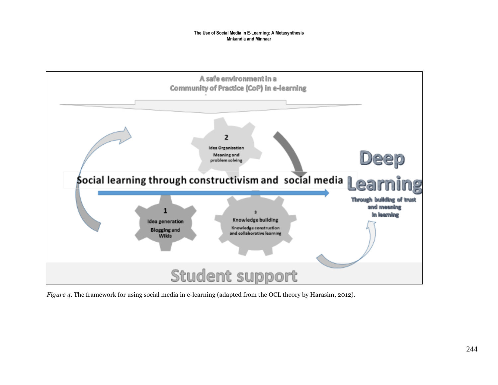

*Figure 4*. The framework for using social media in e-learning (adapted from the OCL theory by Harasim, 2012).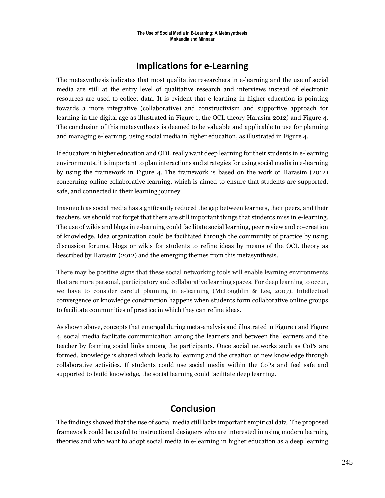## **Implications for e-Learning**

The metasynthesis indicates that most qualitative researchers in e-learning and the use of social media are still at the entry level of qualitative research and interviews instead of electronic resources are used to collect data. It is evident that e-learning in higher education is pointing towards a more integrative (collaborative) and constructivism and supportive approach for learning in the digital age as illustrated in Figure 1, the OCL theory Harasim 2012) and Figure 4. The conclusion of this metasynthesis is deemed to be valuable and applicable to use for planning and managing e-learning, using social media in higher education, as illustrated in Figure 4.

If educators in higher education and ODL really want deep learning for their students in e-learning environments, it is important to plan interactions and strategies for using social media in e-learning by using the framework in Figure 4. The framework is based on the work of Harasim (2012) concerning online collaborative learning, which is aimed to ensure that students are supported, safe, and connected in their learning journey.

Inasmuch as social media has significantly reduced the gap between learners, their peers, and their teachers, we should not forget that there are still important things that students miss in e-learning. The use of wikis and blogs in e-learning could facilitate social learning, peer review and co-creation of knowledge. Idea organization could be facilitated through the community of practice by using discussion forums, blogs or wikis for students to refine ideas by means of the OCL theory as described by Harasim (2012) and the emerging themes from this metasynthesis.

There may be positive signs that these social networking tools will enable learning environments that are more personal, participatory and collaborative learning spaces. For deep learning to occur, we have to consider careful planning in e-learning (McLoughlin & Lee, 2007). Intellectual convergence or knowledge construction happens when students form collaborative online groups to facilitate communities of practice in which they can refine ideas.

As shown above, concepts that emerged during meta-analysis and illustrated in Figure 1 and Figure 4, social media facilitate communication among the learners and between the learners and the teacher by forming social links among the participants. Once social networks such as CoPs are formed, knowledge is shared which leads to learning and the creation of new knowledge through collaborative activities. If students could use social media within the CoPs and feel safe and supported to build knowledge, the social learning could facilitate deep learning.

## **Conclusion**

The findings showed that the use of social media still lacks important empirical data. The proposed framework could be useful to instructional designers who are interested in using modern learning theories and who want to adopt social media in e-learning in higher education as a deep learning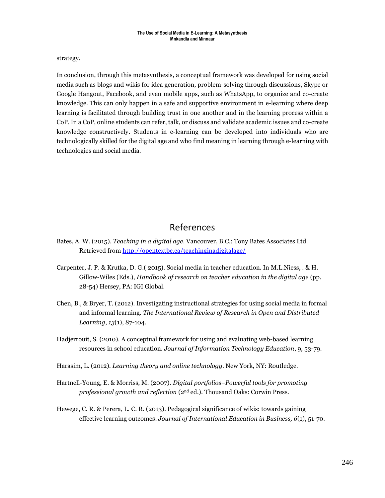strategy.

In conclusion, through this metasynthesis, a conceptual framework was developed for using social media such as blogs and wikis for idea generation, problem-solving through discussions, Skype or Google Hangout, Facebook, and even mobile apps, such as WhatsApp, to organize and co-create knowledge. This can only happen in a safe and supportive environment in e-learning where deep learning is facilitated through building trust in one another and in the learning process within a CoP. In a CoP, online students can refer, talk, or discuss and validate academic issues and co-create knowledge constructively. Students in e-learning can be developed into individuals who are technologically skilled for the digital age and who find meaning in learning through e-learning with technologies and social media.

### References

- Bates, A. W. (2015). *Teaching in a digital age*. Vancouver, B.C.: Tony Bates Associates Ltd. Retrieved from<http://opentextbc.ca/teachinginadigitalage/>
- Carpenter, J. P. & Krutka, D. G.( 2015). Social media in teacher education. In M.L.Niess, . & H. Gillow-Wiles (Eds.), *Handbook of research on teacher education in the digital age* (pp. 28-54) Hersey, PA: IGI Global.
- Chen, B., & Bryer, T. (2012). Investigating instructional strategies for using social media in formal and informal learning. *The International Review of Research in Open and Distributed Learning*, *13*(1), 87-104.
- Hadjerrouit, S. (2010). A conceptual framework for using and evaluating web-based learning resources in school education. *Journal of Information Technology Education*, 9, 53-79.
- Harasim, L. (2012). *Learning theory and online technology*. New York, NY: Routledge.
- Hartnell-Young, E. & Morriss, M. (2007). *Digital portfolios–Powerful tools for promoting professional growth and reflection* (2nd ed.). Thousand Oaks: Corwin Press.
- Hewege, C. R. & Perera, L. C. R. (2013). Pedagogical significance of wikis: towards gaining effective learning outcomes. *Journal of International Education in Business, 6*(1), 51-70.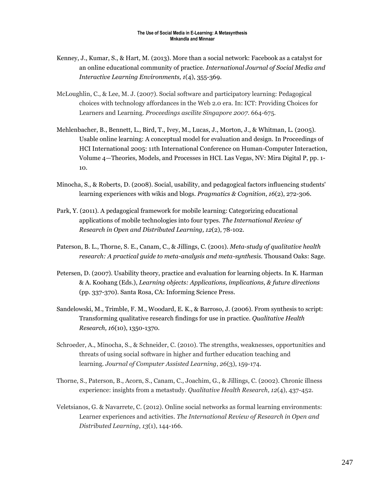- Kenney, J., Kumar, S., & Hart, M. (2013). More than a social network: Facebook as a catalyst for an online educational community of practice. *International Journal of Social Media and Interactive Learning Environments, 1*(4), 355-369.
- McLoughlin, C., & Lee, M. J. (2007). Social software and participatory learning: Pedagogical choices with technology affordances in the Web 2.0 era. In: ICT: Providing Choices for Learners and Learning. *Proceedings ascilite Singapore 2007.* 664-675.
- Mehlenbacher, B., Bennett, L., Bird, T., Ivey, M., Lucas, J., Morton, J., & Whitman, L. (2005). Usable online learning: A conceptual model for evaluation and design. In Proceedings of HCI International 2005: 11th International Conference on Human-Computer Interaction, Volume 4—Theories, Models, and Processes in HCI. Las Vegas, NV: Mira Digital P, pp. 1- 10.
- Minocha, S., & Roberts, D. (2008). Social, usability, and pedagogical factors influencing students' learning experiences with wikis and blogs. *Pragmatics & Cognition*, *16*(2), 272-306.
- Park, Y. (2011). A pedagogical framework for mobile learning: Categorizing educational applications of mobile technologies into four types. *The International Review of Research in Open and Distributed Learning, 12*(2), 78-102.
- Paterson, B. L., Thorne, S. E., Canam, C., & Jillings, C. (2001). *Meta-study of qualitative health research: A practical guide to meta-analysis and meta-synthesis.* Thousand Oaks: Sage.
- Petersen, D. (2007). Usability theory, practice and evaluation for learning objects. In K. Harman & A. Koohang (Eds.), *Learning objects: Applications, implications, & future directions* (pp. 337-370). Santa Rosa, CA: Informing Science Press.
- Sandelowski, M., Trimble, F. M., Woodard, E. K., & Barroso, J. (2006). From synthesis to script: Transforming qualitative research findings for use in practice. *Qualitative Health Research, 16*(10), 1350-1370.
- Schroeder, A., Minocha, S., & Schneider, C. (2010). The strengths, weaknesses, opportunities and threats of using social software in higher and further education teaching and learning. *Journal of Computer Assisted Learning*, *26*(3), 159-174.
- Thorne, S., Paterson, B., Acorn, S., Canam, C., Joachim, G., & Jillings, C. (2002). Chronic illness experience: insights from a metastudy. *Qualitative Health Research*, *12*(4), 437-452.
- Veletsianos, G. & Navarrete, C. (2012). Online social networks as formal learning environments: Learner experiences and activities. *The International Review of Research in Open and Distributed Learning*, *13*(1), 144-166.